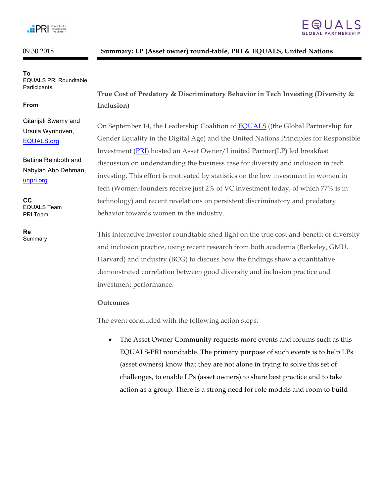

# 09.30.2018 **Summary: LP (Asset owner) round-table, PRI & EQUALS, United Nations**

**To** EQUALS PRI Roundtable **Participants** 

#### **From**

Gitanjali Swamy and Ursula Wynhoven, EQUALS.org

Bettina Reinboth and Nabylah Abo Dehman, unpri.org

**CC** EQUALS Team PRI Team

**Re** Summary



**True Cost of Predatory & Discriminatory Behavior in Tech Investing (Diversity & Inclusion)**

On September 14, the Leadership Coalition of EQUALS ((the Global Partnership for Gender Equality in the Digital Age) and the United Nations Principles for Responsible Investment (PRI) hosted an Asset Owner/Limited Partner(LP) led breakfast discussion on understanding the business case for diversity and inclusion in tech investing. This effort is motivated by statistics on the low investment in women in tech (Women-founders receive just 2% of VC investment today, of which 77% is in technology) and recent revelations on persistent discriminatory and predatory behavior towards women in the industry.

This interactive investor roundtable shed light on the true cost and benefit of diversity and inclusion practice, using recent research from both academia (Berkeley, GMU, Harvard) and industry (BCG) to discuss how the findings show a quantitative demonstrated correlation between good diversity and inclusion practice and investment performance.

#### **Outcomes**

The event concluded with the following action steps:

• The Asset Owner Community requests more events and forums such as this EQUALS-PRI roundtable. The primary purpose of such events is to help LPs (asset owners) know that they are not alone in trying to solve this set of challenges, to enable LPs (asset owners) to share best practice and to take action as a group. There is a strong need for role models and room to build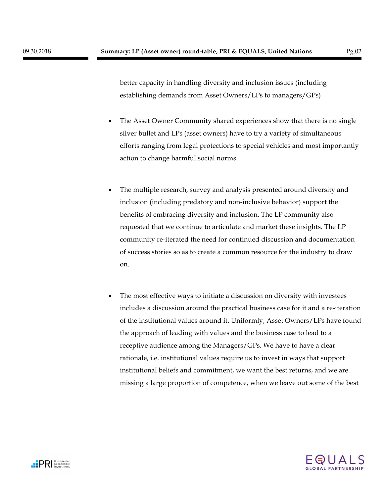better capacity in handling diversity and inclusion issues (including establishing demands from Asset Owners/LPs to managers/GPs)

- The Asset Owner Community shared experiences show that there is no single silver bullet and LPs (asset owners) have to try a variety of simultaneous efforts ranging from legal protections to special vehicles and most importantly action to change harmful social norms.
- The multiple research, survey and analysis presented around diversity and inclusion (including predatory and non-inclusive behavior) support the benefits of embracing diversity and inclusion. The LP community also requested that we continue to articulate and market these insights. The LP community re-iterated the need for continued discussion and documentation of success stories so as to create a common resource for the industry to draw on.
- The most effective ways to initiate a discussion on diversity with investees includes a discussion around the practical business case for it and a re-iteration of the institutional values around it. Uniformly, Asset Owners/LPs have found the approach of leading with values and the business case to lead to a receptive audience among the Managers/GPs. We have to have a clear rationale, i.e. institutional values require us to invest in ways that support institutional beliefs and commitment, we want the best returns, and we are missing a large proportion of competence, when we leave out some of the best



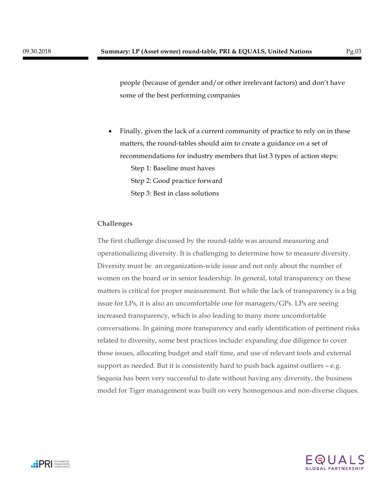people (because of gender and/or other irrelevant factors) and don't have some of the best performing companies

• Finally, given the lack of a current community of practice to rely on in these matters, the round-tables should aim to create a guidance on a set of recommendations for industry members that list 3 types of action steps: Step 1: Baseline must haves Step 2: Good practice forward Step 3: Best in class solutions

# **Challenges**

The first challenge discussed by the round-table was around measuring and operationalizing diversity. It is challenging to determine how to measure diversity. Diversity must be an organization-wide issue and not only about the number of women on the board or in senior leadership. In general, total transparency on these matters is critical for proper measurement. But while the lack of transparency is a big issue for LPs, it is also an uncomfortable one for managers/GPs. LPs are seeing increased transparency, which is also leading to many more uncomfortable conversations. In gaining more transparency and early identification of pertinent risks related to diversity, some best practices include: expanding due diligence to cover these issues, allocating budget and staff time, and use of relevant tools and external support as needed. But it is consistently hard to push back against outliers – e.g. Sequoia has been very successful to date without having any diversity, the business model for Tiger management was built on very homogenous and non-diverse cliques.



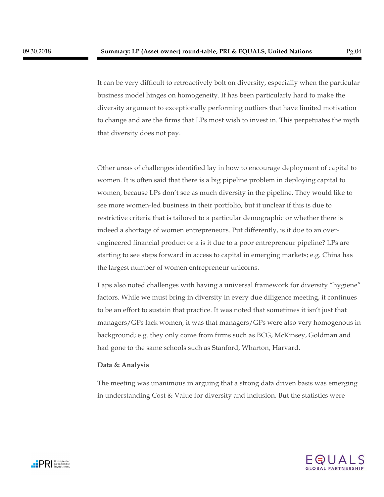It can be very difficult to retroactively bolt on diversity, especially when the particular business model hinges on homogeneity. It has been particularly hard to make the diversity argument to exceptionally performing outliers that have limited motivation to change and are the firms that LPs most wish to invest in. This perpetuates the myth that diversity does not pay.

Other areas of challenges identified lay in how to encourage deployment of capital to women. It is often said that there is a big pipeline problem in deploying capital to women, because LPs don't see as much diversity in the pipeline. They would like to see more women-led business in their portfolio, but it unclear if this is due to restrictive criteria that is tailored to a particular demographic or whether there is indeed a shortage of women entrepreneurs. Put differently, is it due to an overengineered financial product or a is it due to a poor entrepreneur pipeline? LPs are starting to see steps forward in access to capital in emerging markets; e.g. China has the largest number of women entrepreneur unicorns.

Laps also noted challenges with having a universal framework for diversity "hygiene" factors. While we must bring in diversity in every due diligence meeting, it continues to be an effort to sustain that practice. It was noted that sometimes it isn't just that managers/GPs lack women, it was that managers/GPs were also very homogenous in background; e.g. they only come from firms such as BCG, McKinsey, Goldman and had gone to the same schools such as Stanford, Wharton, Harvard.

## **Data & Analysis**

The meeting was unanimous in arguing that a strong data driven basis was emerging in understanding Cost & Value for diversity and inclusion. But the statistics were



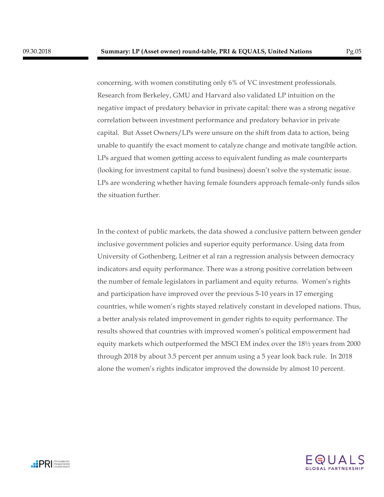concerning, with women constituting only 6% of VC investment professionals. Research from Berkeley, GMU and Harvard also validated LP intuition on the negative impact of predatory behavior in private capital: there was a strong negative correlation between investment performance and predatory behavior in private capital. But Asset Owners/LPs were unsure on the shift from data to action, being unable to quantify the exact moment to catalyze change and motivate tangible action. LPs argued that women getting access to equivalent funding as male counterparts (looking for investment capital to fund business) doesn't solve the systematic issue. LPs are wondering whether having female founders approach female-only funds silos the situation further.

In the context of public markets, the data showed a conclusive pattern between gender inclusive government policies and superior equity performance. Using data from University of Gothenberg, Leitner et al ran a regression analysis between democracy indicators and equity performance. There was a strong positive correlation between the number of female legislators in parliament and equity returns. Women's rights and participation have improved over the previous 5-10 years in 17 emerging countries, while women's rights stayed relatively constant in developed nations. Thus, a better analysis related improvement in gender rights to equity performance. The results showed that countries with improved women's political empowerment had equity markets which outperformed the MSCI EM index over the 18½ years from 2000 through 2018 by about 3.5 percent per annum using a 5 year look back rule. In 2018 alone the women's rights indicator improved the downside by almost 10 percent.

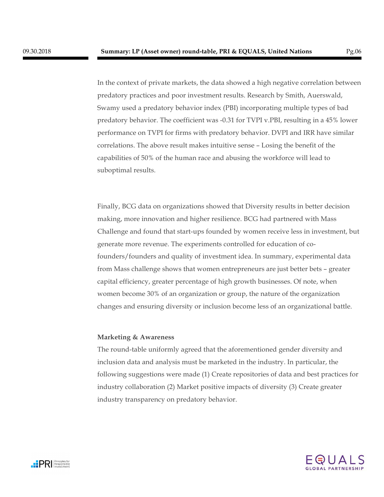capabilities of 50% of the human race and abusing the workforce will lead to

In the context of private markets, the data showed a high negative correlation between predatory practices and poor investment results. Research by Smith, Auerswald, Swamy used a predatory behavior index (PBI) incorporating multiple types of bad predatory behavior. The coefficient was -0.31 for TVPI v.PBI, resulting in a 45% lower performance on TVPI for firms with predatory behavior. DVPI and IRR have similar correlations. The above result makes intuitive sense – Losing the benefit of the

Finally, BCG data on organizations showed that Diversity results in better decision making, more innovation and higher resilience. BCG had partnered with Mass Challenge and found that start-ups founded by women receive less in investment, but generate more revenue. The experiments controlled for education of cofounders/founders and quality of investment idea. In summary, experimental data from Mass challenge shows that women entrepreneurs are just better bets – greater capital efficiency, greater percentage of high growth businesses. Of note, when women become 30% of an organization or group, the nature of the organization changes and ensuring diversity or inclusion become less of an organizational battle.

## **Marketing & Awareness**

suboptimal results.

The round-table uniformly agreed that the aforementioned gender diversity and inclusion data and analysis must be marketed in the industry. In particular, the following suggestions were made (1) Create repositories of data and best practices for industry collaboration (2) Market positive impacts of diversity (3) Create greater industry transparency on predatory behavior.



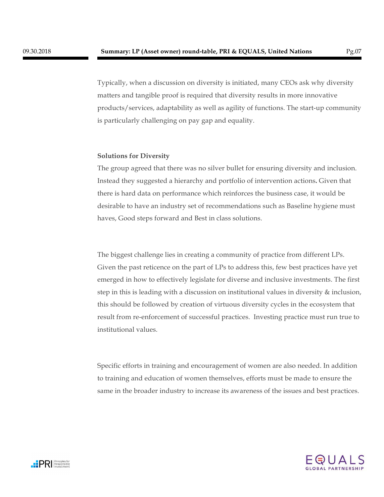Typically, when a discussion on diversity is initiated, many CEOs ask why diversity matters and tangible proof is required that diversity results in more innovative products/services, adaptability as well as agility of functions. The start-up community is particularly challenging on pay gap and equality.

#### **Solutions for Diversity**

The group agreed that there was no silver bullet for ensuring diversity and inclusion. Instead they suggested a hierarchy and portfolio of intervention actions**.** Given that there is hard data on performance which reinforces the business case, it would be desirable to have an industry set of recommendations such as Baseline hygiene must haves, Good steps forward and Best in class solutions.

The biggest challenge lies in creating a community of practice from different LPs. Given the past reticence on the part of LPs to address this, few best practices have yet emerged in how to effectively legislate for diverse and inclusive investments. The first step in this is leading with a discussion on institutional values in diversity & inclusion, this should be followed by creation of virtuous diversity cycles in the ecosystem that result from re-enforcement of successful practices. Investing practice must run true to institutional values.

Specific efforts in training and encouragement of women are also needed. In addition to training and education of women themselves, efforts must be made to ensure the same in the broader industry to increase its awareness of the issues and best practices.



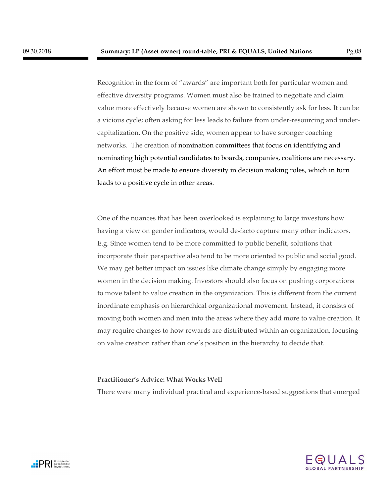Recognition in the form of "awards" are important both for particular women and effective diversity programs. Women must also be trained to negotiate and claim value more effectively because women are shown to consistently ask for less. It can be a vicious cycle; often asking for less leads to failure from under-resourcing and undercapitalization. On the positive side, women appear to have stronger coaching networks. The creation of nomination committees that focus on identifying and nominating high potential candidates to boards, companies, coalitions are necessary. An effort must be made to ensure diversity in decision making roles, which in turn leads to a positive cycle in other areas.

One of the nuances that has been overlooked is explaining to large investors how having a view on gender indicators, would de-facto capture many other indicators. E.g. Since women tend to be more committed to public benefit, solutions that incorporate their perspective also tend to be more oriented to public and social good. We may get better impact on issues like climate change simply by engaging more women in the decision making. Investors should also focus on pushing corporations to move talent to value creation in the organization. This is different from the current inordinate emphasis on hierarchical organizational movement. Instead, it consists of moving both women and men into the areas where they add more to value creation. It may require changes to how rewards are distributed within an organization, focusing on value creation rather than one's position in the hierarchy to decide that.

## **Practitioner's Advice: What Works Well**

There were many individual practical and experience-based suggestions that emerged



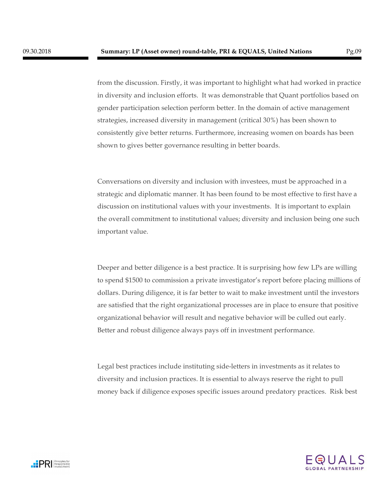from the discussion. Firstly, it was important to highlight what had worked in practice in diversity and inclusion efforts. It was demonstrable that Quant portfolios based on gender participation selection perform better. In the domain of active management strategies, increased diversity in management (critical 30%) has been shown to consistently give better returns. Furthermore, increasing women on boards has been shown to gives better governance resulting in better boards.

Conversations on diversity and inclusion with investees, must be approached in a strategic and diplomatic manner. It has been found to be most effective to first have a discussion on institutional values with your investments. It is important to explain the overall commitment to institutional values; diversity and inclusion being one such important value.

Deeper and better diligence is a best practice. It is surprising how few LPs are willing to spend \$1500 to commission a private investigator's report before placing millions of dollars. During diligence, it is far better to wait to make investment until the investors are satisfied that the right organizational processes are in place to ensure that positive organizational behavior will result and negative behavior will be culled out early. Better and robust diligence always pays off in investment performance.

Legal best practices include instituting side-letters in investments as it relates to diversity and inclusion practices. It is essential to always reserve the right to pull money back if diligence exposes specific issues around predatory practices. Risk best



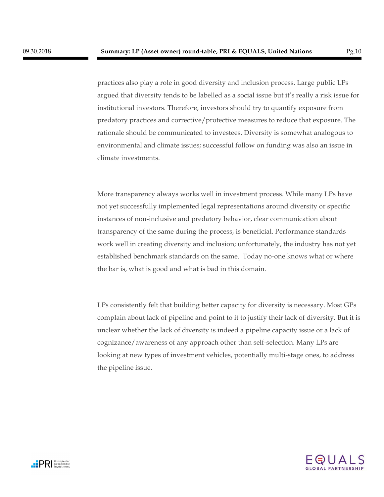practices also play a role in good diversity and inclusion process. Large public LPs argued that diversity tends to be labelled as a social issue but it's really a risk issue for institutional investors. Therefore, investors should try to quantify exposure from predatory practices and corrective/protective measures to reduce that exposure. The rationale should be communicated to investees. Diversity is somewhat analogous to environmental and climate issues; successful follow on funding was also an issue in climate investments.

More transparency always works well in investment process. While many LPs have not yet successfully implemented legal representations around diversity or specific instances of non-inclusive and predatory behavior, clear communication about transparency of the same during the process, is beneficial. Performance standards work well in creating diversity and inclusion; unfortunately, the industry has not yet established benchmark standards on the same. Today no-one knows what or where the bar is, what is good and what is bad in this domain.

LPs consistently felt that building better capacity for diversity is necessary. Most GPs complain about lack of pipeline and point to it to justify their lack of diversity. But it is unclear whether the lack of diversity is indeed a pipeline capacity issue or a lack of cognizance/awareness of any approach other than self-selection. Many LPs are looking at new types of investment vehicles, potentially multi-stage ones, to address the pipeline issue.

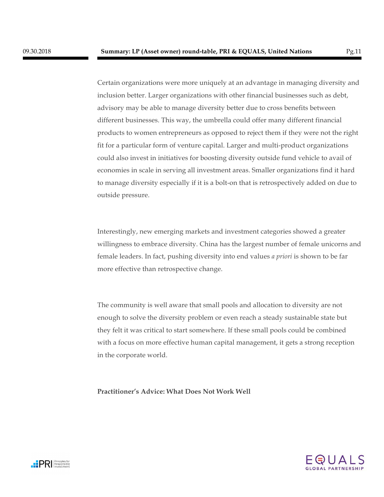Certain organizations were more uniquely at an advantage in managing diversity and inclusion better. Larger organizations with other financial businesses such as debt, advisory may be able to manage diversity better due to cross benefits between different businesses. This way, the umbrella could offer many different financial products to women entrepreneurs as opposed to reject them if they were not the right fit for a particular form of venture capital. Larger and multi-product organizations could also invest in initiatives for boosting diversity outside fund vehicle to avail of economies in scale in serving all investment areas. Smaller organizations find it hard to manage diversity especially if it is a bolt-on that is retrospectively added on due to outside pressure.

Interestingly, new emerging markets and investment categories showed a greater willingness to embrace diversity. China has the largest number of female unicorns and female leaders. In fact, pushing diversity into end values *a priori* is shown to be far more effective than retrospective change.

The community is well aware that small pools and allocation to diversity are not enough to solve the diversity problem or even reach a steady sustainable state but they felt it was critical to start somewhere. If these small pools could be combined with a focus on more effective human capital management, it gets a strong reception in the corporate world.

**Practitioner's Advice: What Does Not Work Well**



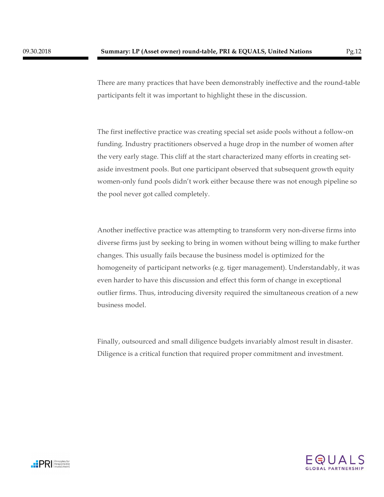There are many practices that have been demonstrably ineffective and the round-table participants felt it was important to highlight these in the discussion.

The first ineffective practice was creating special set aside pools without a follow-on funding. Industry practitioners observed a huge drop in the number of women after the very early stage. This cliff at the start characterized many efforts in creating setaside investment pools. But one participant observed that subsequent growth equity women-only fund pools didn't work either because there was not enough pipeline so the pool never got called completely.

Another ineffective practice was attempting to transform very non-diverse firms into diverse firms just by seeking to bring in women without being willing to make further changes. This usually fails because the business model is optimized for the homogeneity of participant networks (e.g. tiger management). Understandably, it was even harder to have this discussion and effect this form of change in exceptional outlier firms. Thus, introducing diversity required the simultaneous creation of a new business model.

Finally, outsourced and small diligence budgets invariably almost result in disaster. Diligence is a critical function that required proper commitment and investment.